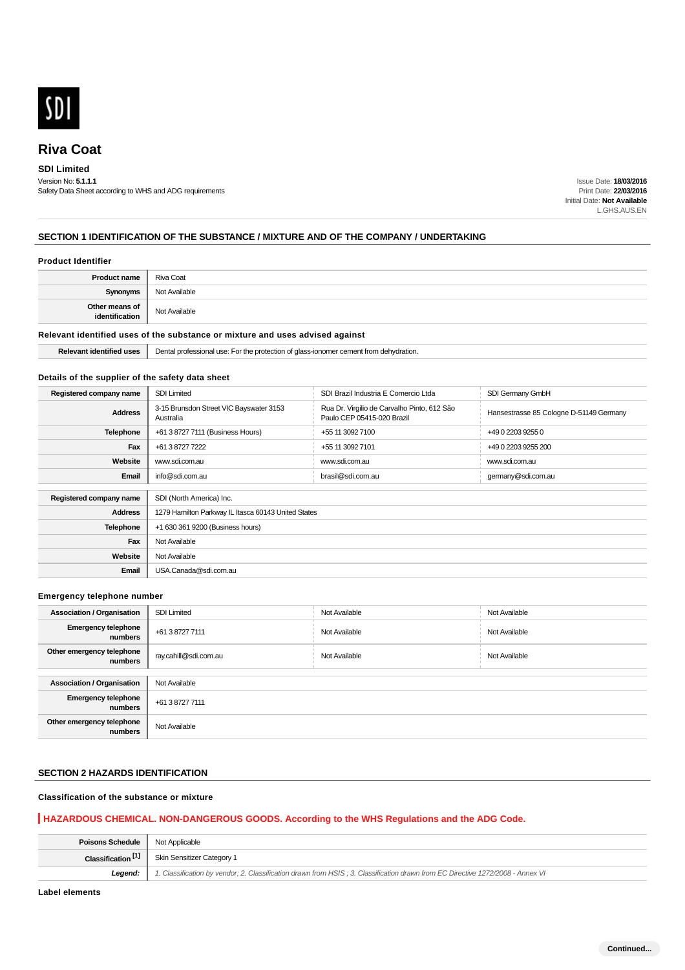

### **SDI Limited**

Version No: **5.1.1.1** Safety Data Sheet according to WHS and ADG requirements

Issue Date: **18/03/2016** Print Date: **22/03/2016** Initial Date: **Not Available** L.GHS.AUS.EN

## **SECTION 1 IDENTIFICATION OF THE SUBSTANCE / MIXTURE AND OF THE COMPANY / UNDERTAKING**

#### **Product Identifier**

| <b>Product name</b>              | Riva Coat     |
|----------------------------------|---------------|
| <b>Synonyms</b>                  | Not Available |
| Other means of<br>identification | Not Available |

## **Relevant identified uses of the substance or mixture and uses advised against**

**Relevant identified uses** | Dental professional use: For the protection of glass-ionomer cement from dehydration.

### **Details of the supplier of the safety data sheet**

| Registered company name | <b>SDI Limited</b>                                   | SDI Brazil Industria E Comercio Ltda                                      | SDI Germany GmbH                        |
|-------------------------|------------------------------------------------------|---------------------------------------------------------------------------|-----------------------------------------|
| <b>Address</b>          | 3-15 Brunsdon Street VIC Bayswater 3153<br>Australia | Rua Dr. Virgilio de Carvalho Pinto, 612 São<br>Paulo CEP 05415-020 Brazil | Hansestrasse 85 Cologne D-51149 Germany |
| Telephone               | +61 3 8727 7111 (Business Hours)                     | +55 11 3092 7100                                                          | +49 0 2203 9255 0                       |
| Fax                     | +61 3 8727 7222                                      | +55 11 3092 7101                                                          | +49 0 2203 9255 200                     |
| Website                 | www.sdi.com.au                                       | www.sdi.com.au                                                            | www.sdi.com.au                          |
| Email                   | info@sdi.com.au                                      | brasil@sdi.com.au                                                         | germany@sdi.com.au                      |
|                         |                                                      |                                                                           |                                         |
| Registered company name | SDI (North America) Inc.                             |                                                                           |                                         |
| <b>Address</b>          | 1279 Hamilton Parkway IL Itasca 60143 United States  |                                                                           |                                         |
| <b>Telephone</b>        | +1 630 361 9200 (Business hours)                     |                                                                           |                                         |
| Fax                     | Not Available                                        |                                                                           |                                         |
| Website                 | Not Available                                        |                                                                           |                                         |
| Email                   | USA.Canada@sdi.com.au                                |                                                                           |                                         |

#### **Emergency telephone number**

| <b>Association / Organisation</b>     | <b>SDI Limited</b>    | Not Available | Not Available |
|---------------------------------------|-----------------------|---------------|---------------|
| <b>Emergency telephone</b><br>numbers | +61 3 8727 7111       | Not Available | Not Available |
| Other emergency telephone<br>numbers  | ray.cahill@sdi.com.au | Not Available | Not Available |
|                                       |                       |               |               |
| <b>Association / Organisation</b>     | Not Available         |               |               |
| <b>Emergency telephone</b><br>numbers | +61 3 8727 7111       |               |               |
| Other emergency telephone<br>numbers  | Not Available         |               |               |

## **SECTION 2 HAZARDS IDENTIFICATION**

## **Classification of the substance or mixture**

## **HAZARDOUS CHEMICAL. NON-DANGEROUS GOODS. According to the WHS Regulations and the ADG Code.**

| <b>Poisons Schedule</b>   Not Applicable |                                                                                                                                |
|------------------------------------------|--------------------------------------------------------------------------------------------------------------------------------|
| Classification <sup>[1]</sup>            | Skin Sensitizer Category 1                                                                                                     |
| Legend:                                  | 1. Classification by vendor; 2. Classification drawn from HSIS; 3. Classification drawn from EC Directive 1272/2008 - Annex VI |

**Label elements**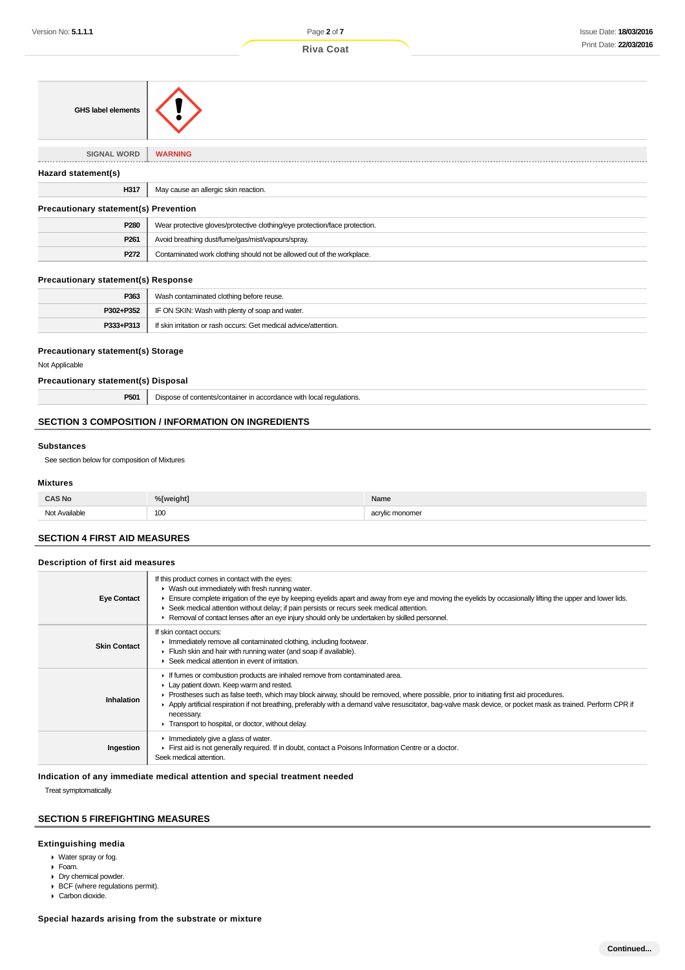| <b>Riva Coat</b> |
|------------------|
|                  |

| <b>GHS label elements</b>                    |                                                                            |  |
|----------------------------------------------|----------------------------------------------------------------------------|--|
| <b>SIGNAL WORD</b>                           | <b>WARNING</b>                                                             |  |
| Hazard statement(s)                          |                                                                            |  |
| H317                                         | May cause an allergic skin reaction.                                       |  |
| <b>Precautionary statement(s) Prevention</b> |                                                                            |  |
| P280                                         | Wear protective gloves/protective clothing/eye protection/face protection. |  |
| P261                                         | Avoid breathing dust/fume/gas/mist/vapours/spray.                          |  |
| P272                                         | Contaminated work clothing should not be allowed out of the workplace.     |  |

### **Precautionary statement(s) Response**

| P363      | Wash contaminated clothing before reuse.                         |
|-----------|------------------------------------------------------------------|
| P302+P352 | IF ON SKIN: Wash with plenty of soap and water.                  |
| P333+P313 | If skin irritation or rash occurs: Get medical advice/attention. |

### **Precautionary statement(s) Storage**

Not Applicable

### **Precautionary statement(s) Disposal**

**P501** Dispose of contents/container in accordance with local regulations.

## **SECTION 3 COMPOSITION / INFORMATION ON INGREDIENTS**

## **Substances**

See section below for composition of Mixtures

## **Mixtures**

| <b>CAS No</b> | %[weight] | Name                    |
|---------------|-----------|-------------------------|
| Not Available | 100       | rvlic monomer<br>$\sim$ |

## **SECTION 4 FIRST AID MEASURES**

## **Description of first aid measures**

| <b>Eye Contact</b>  | If this product comes in contact with the eyes:<br>• Wash out immediately with fresh running water.<br>Ensure complete irrigation of the eye by keeping eyelids apart and away from eye and moving the eyelids by occasionally lifting the upper and lower lids.<br>► Seek medical attention without delay; if pain persists or recurs seek medical attention.<br>► Removal of contact lenses after an eye injury should only be undertaken by skilled personnel.                                 |
|---------------------|---------------------------------------------------------------------------------------------------------------------------------------------------------------------------------------------------------------------------------------------------------------------------------------------------------------------------------------------------------------------------------------------------------------------------------------------------------------------------------------------------|
| <b>Skin Contact</b> | If skin contact occurs:<br>Inmediately remove all contaminated clothing, including footwear.<br>Flush skin and hair with running water (and soap if available).<br>▶ Seek medical attention in event of irritation.                                                                                                                                                                                                                                                                               |
| Inhalation          | If fumes or combustion products are inhaled remove from contaminated area.<br>Lay patient down. Keep warm and rested.<br>► Prostheses such as false teeth, which may block airway, should be removed, where possible, prior to initiating first aid procedures.<br>Apply artificial respiration if not breathing, preferably with a demand valve resuscitator, bag-valve mask device, or pocket mask as trained. Perform CPR if<br>necessary.<br>Transport to hospital, or doctor, without delay. |
| Ingestion           | $\blacktriangleright$ Immediately give a glass of water.<br>First aid is not generally required. If in doubt, contact a Poisons Information Centre or a doctor.<br>Seek medical attention.                                                                                                                                                                                                                                                                                                        |

### **Indication of any immediate medical attention and special treatment needed**

Treat symptomatically.

## **SECTION 5 FIREFIGHTING MEASURES**

#### **Extinguishing media**

- Water spray or fog.
- Foam.
- ▶ Dry chemical powder.
- ▶ BCF (where regulations permit).
- Carbon dioxide.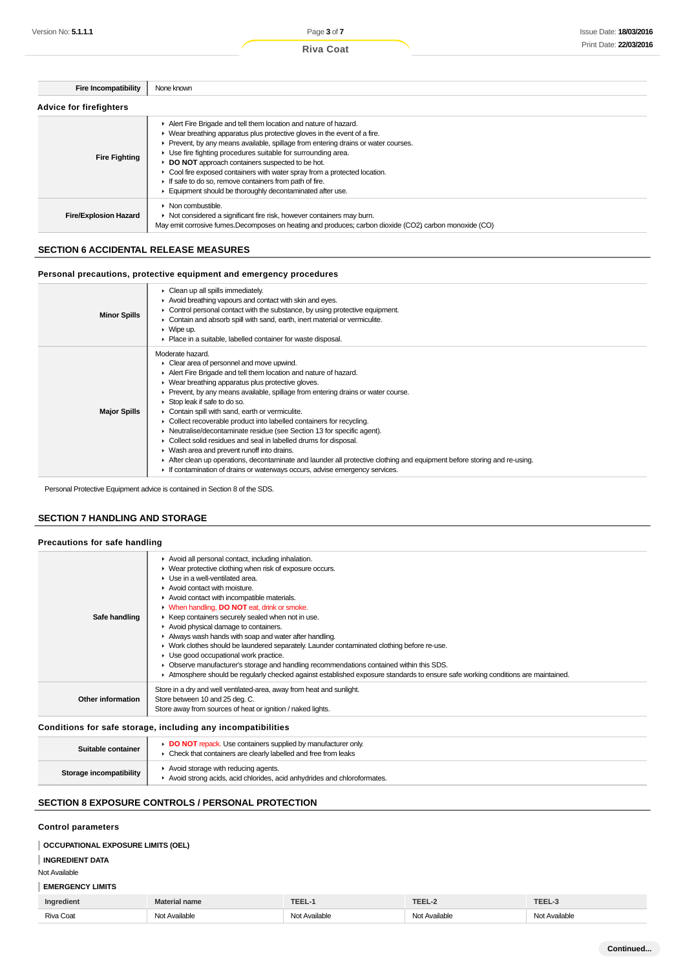| <b>Fire Incompatibility</b>    | None known                                                                                                                                                                                                                                                                                                                                                                                                                                                                                                                                                                     |  |
|--------------------------------|--------------------------------------------------------------------------------------------------------------------------------------------------------------------------------------------------------------------------------------------------------------------------------------------------------------------------------------------------------------------------------------------------------------------------------------------------------------------------------------------------------------------------------------------------------------------------------|--|
| <b>Advice for firefighters</b> |                                                                                                                                                                                                                                                                                                                                                                                                                                                                                                                                                                                |  |
| <b>Fire Fighting</b>           | Alert Fire Brigade and tell them location and nature of hazard.<br>$\blacktriangleright$ Wear breathing apparatus plus protective gloves in the event of a fire.<br>▶ Prevent, by any means available, spillage from entering drains or water courses.<br>▶ Use fire fighting procedures suitable for surrounding area.<br>DO NOT approach containers suspected to be hot.<br>• Cool fire exposed containers with water spray from a protected location.<br>If safe to do so, remove containers from path of fire.<br>Equipment should be thoroughly decontaminated after use. |  |
| <b>Fire/Explosion Hazard</b>   | $\blacktriangleright$ Non combustible.<br>• Not considered a significant fire risk, however containers may burn.<br>May emit corrosive fumes. Decomposes on heating and produces; carbon dioxide (CO2) carbon monoxide (CO)                                                                                                                                                                                                                                                                                                                                                    |  |

## **SECTION 6 ACCIDENTAL RELEASE MEASURES**

### **Personal precautions, protective equipment and emergency procedures**

| <b>Minor Spills</b> | $\triangleright$ Clean up all spills immediately.<br>Avoid breathing vapours and contact with skin and eyes.<br>• Control personal contact with the substance, by using protective equipment.<br>• Contain and absorb spill with sand, earth, inert material or vermiculite.<br>$\blacktriangleright$ Wipe up.<br>• Place in a suitable, labelled container for waste disposal. |
|---------------------|---------------------------------------------------------------------------------------------------------------------------------------------------------------------------------------------------------------------------------------------------------------------------------------------------------------------------------------------------------------------------------|
|                     | Moderate hazard.                                                                                                                                                                                                                                                                                                                                                                |
|                     | • Clear area of personnel and move upwind.<br>Alert Fire Brigade and tell them location and nature of hazard.                                                                                                                                                                                                                                                                   |
|                     | • Wear breathing apparatus plus protective gloves.                                                                                                                                                                                                                                                                                                                              |
|                     | ► Prevent, by any means available, spillage from entering drains or water course.                                                                                                                                                                                                                                                                                               |
|                     | Stop leak if safe to do so.                                                                                                                                                                                                                                                                                                                                                     |
| <b>Major Spills</b> | Contain spill with sand, earth or vermiculite.                                                                                                                                                                                                                                                                                                                                  |
|                     | • Collect recoverable product into labelled containers for recycling.                                                                                                                                                                                                                                                                                                           |
|                     | • Neutralise/decontaminate residue (see Section 13 for specific agent).                                                                                                                                                                                                                                                                                                         |
|                     | • Collect solid residues and seal in labelled drums for disposal.                                                                                                                                                                                                                                                                                                               |
|                     | • Wash area and prevent runoff into drains.                                                                                                                                                                                                                                                                                                                                     |
|                     | After clean up operations, decontaminate and launder all protective clothing and equipment before storing and re-using.                                                                                                                                                                                                                                                         |
|                     | If contamination of drains or waterways occurs, advise emergency services.                                                                                                                                                                                                                                                                                                      |

Personal Protective Equipment advice is contained in Section 8 of the SDS.

## **SECTION 7 HANDLING AND STORAGE**

### **Precautions for safe handling**

| Safe handling     | Avoid all personal contact, including inhalation.<br>▶ Wear protective clothing when risk of exposure occurs.<br>$\blacktriangleright$ Use in a well-ventilated area.<br>Avoid contact with moisture.<br>Avoid contact with incompatible materials.<br>• When handling, DO NOT eat, drink or smoke.<br>▶ Keep containers securely sealed when not in use.<br>Avoid physical damage to containers.<br>Always wash hands with soap and water after handling.<br>• Work clothes should be laundered separately. Launder contaminated clothing before re-use.<br>Use good occupational work practice.<br>• Observe manufacturer's storage and handling recommendations contained within this SDS. |
|-------------------|-----------------------------------------------------------------------------------------------------------------------------------------------------------------------------------------------------------------------------------------------------------------------------------------------------------------------------------------------------------------------------------------------------------------------------------------------------------------------------------------------------------------------------------------------------------------------------------------------------------------------------------------------------------------------------------------------|
|                   | Atmosphere should be regularly checked against established exposure standards to ensure safe working conditions are maintained.                                                                                                                                                                                                                                                                                                                                                                                                                                                                                                                                                               |
| Other information | Store in a dry and well ventilated-area, away from heat and sunlight.<br>Store between 10 and 25 deg. C.<br>Store away from sources of heat or ignition / naked lights.                                                                                                                                                                                                                                                                                                                                                                                                                                                                                                                       |

### **Conditions for safe storage, including any incompatibilities**

| Suitable container      | <b>DO NOT</b> repack. Use containers supplied by manufacturer only<br>• Check that containers are clearly labelled and free from leaks |
|-------------------------|----------------------------------------------------------------------------------------------------------------------------------------|
| Storage incompatibility | Avoid storage with reducing agents.<br>Avoid strong acids, acid chlorides, acid anhydrides and chloroformates.                         |

## **SECTION 8 EXPOSURE CONTROLS / PERSONAL PROTECTION**

## **Control parameters**

## **OCCUPATIONAL EXPOSURE LIMITS (OEL)**

#### **INGREDIENT DATA**

Not Available

## **EMERGENCY LIMITS**

| Ingredient            | aal name                      | <b>TEEL</b>      | TEEL             | <b>TCCL</b>       |
|-----------------------|-------------------------------|------------------|------------------|-------------------|
| <b>Riva Coat</b><br>. | Available<br>اصل<br>็งเม<br>. | Not<br>Available | Available<br>Not | ۰۱^۰<br>Available |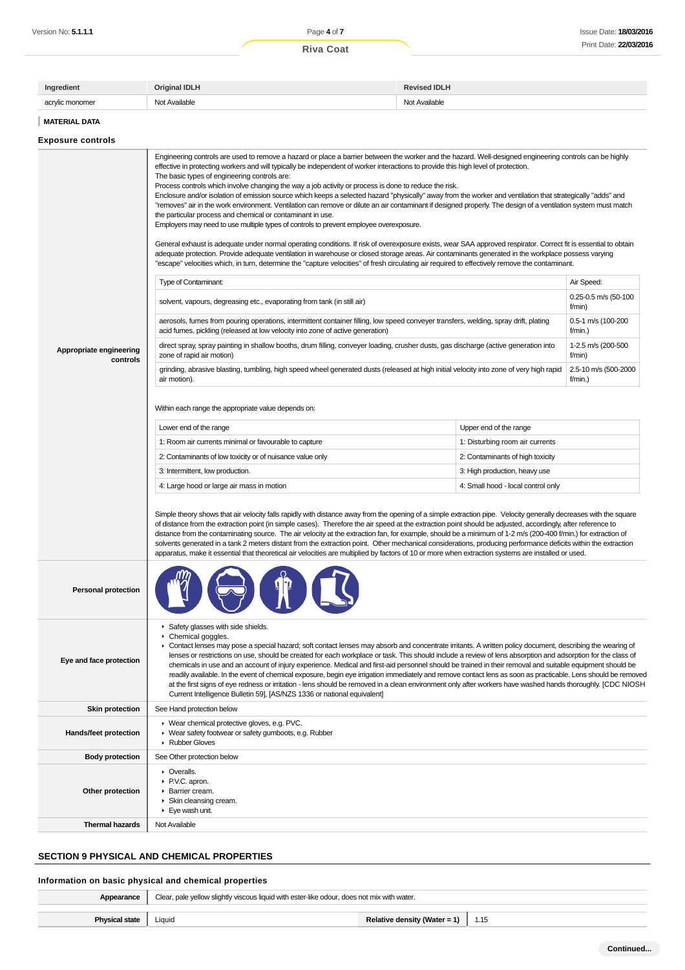| Ingredient      | <b>Original IDLH</b> | <b>Revised IDLH</b> |
|-----------------|----------------------|---------------------|
| acrylic monomer | Not Available        | Not Available       |
|                 |                      |                     |

**MATERIAL DATA**

## **Exposure controls**

|                                     | Engineering controls are used to remove a hazard or place a barrier between the worker and the hazard. Well-designed engineering controls can be highly<br>effective in protecting workers and will typically be independent of worker interactions to provide this high level of protection.<br>The basic types of engineering controls are:<br>Process controls which involve changing the way a job activity or process is done to reduce the risk.<br>Enclosure and/or isolation of emission source which keeps a selected hazard "physically" away from the worker and ventilation that strategically "adds" and<br>"removes" air in the work environment. Ventilation can remove or dilute an air contaminant if designed properly. The design of a ventilation system must match<br>the particular process and chemical or contaminant in use.<br>Employers may need to use multiple types of controls to prevent employee overexposure.<br>General exhaust is adequate under normal operating conditions. If risk of overexposure exists, wear SAA approved respirator. Correct fit is essential to obtain<br>adequate protection. Provide adequate ventilation in warehouse or closed storage areas. Air contaminants generated in the workplace possess varying<br>"escape" velocities which, in turn, determine the "capture velocities" of fresh circulating air required to effectively remove the contaminant. |                                    |                                 |  |
|-------------------------------------|------------------------------------------------------------------------------------------------------------------------------------------------------------------------------------------------------------------------------------------------------------------------------------------------------------------------------------------------------------------------------------------------------------------------------------------------------------------------------------------------------------------------------------------------------------------------------------------------------------------------------------------------------------------------------------------------------------------------------------------------------------------------------------------------------------------------------------------------------------------------------------------------------------------------------------------------------------------------------------------------------------------------------------------------------------------------------------------------------------------------------------------------------------------------------------------------------------------------------------------------------------------------------------------------------------------------------------------------------------------------------------------------------------------------------|------------------------------------|---------------------------------|--|
|                                     | Type of Contaminant:                                                                                                                                                                                                                                                                                                                                                                                                                                                                                                                                                                                                                                                                                                                                                                                                                                                                                                                                                                                                                                                                                                                                                                                                                                                                                                                                                                                                         |                                    | Air Speed:                      |  |
|                                     | solvent, vapours, degreasing etc., evaporating from tank (in still air)                                                                                                                                                                                                                                                                                                                                                                                                                                                                                                                                                                                                                                                                                                                                                                                                                                                                                                                                                                                                                                                                                                                                                                                                                                                                                                                                                      |                                    | 0.25-0.5 m/s (50-100<br>f/min)  |  |
|                                     | aerosols, fumes from pouring operations, intermittent container filling, low speed conveyer transfers, welding, spray drift, plating<br>acid fumes, pickling (released at low velocity into zone of active generation)                                                                                                                                                                                                                                                                                                                                                                                                                                                                                                                                                                                                                                                                                                                                                                                                                                                                                                                                                                                                                                                                                                                                                                                                       |                                    | 0.5-1 m/s (100-200<br>f/min.)   |  |
| Appropriate engineering<br>controls | direct spray, spray painting in shallow booths, drum filling, conveyer loading, crusher dusts, gas discharge (active generation into<br>zone of rapid air motion)                                                                                                                                                                                                                                                                                                                                                                                                                                                                                                                                                                                                                                                                                                                                                                                                                                                                                                                                                                                                                                                                                                                                                                                                                                                            |                                    | 1-2.5 m/s (200-500<br>f/min)    |  |
|                                     | grinding, abrasive blasting, tumbling, high speed wheel generated dusts (released at high initial velocity into zone of very high rapid<br>air motion).                                                                                                                                                                                                                                                                                                                                                                                                                                                                                                                                                                                                                                                                                                                                                                                                                                                                                                                                                                                                                                                                                                                                                                                                                                                                      |                                    | 2.5-10 m/s (500-2000<br>f/min.) |  |
|                                     | Within each range the appropriate value depends on:                                                                                                                                                                                                                                                                                                                                                                                                                                                                                                                                                                                                                                                                                                                                                                                                                                                                                                                                                                                                                                                                                                                                                                                                                                                                                                                                                                          |                                    |                                 |  |
|                                     | Lower end of the range                                                                                                                                                                                                                                                                                                                                                                                                                                                                                                                                                                                                                                                                                                                                                                                                                                                                                                                                                                                                                                                                                                                                                                                                                                                                                                                                                                                                       | Upper end of the range             |                                 |  |
|                                     | 1: Room air currents minimal or favourable to capture                                                                                                                                                                                                                                                                                                                                                                                                                                                                                                                                                                                                                                                                                                                                                                                                                                                                                                                                                                                                                                                                                                                                                                                                                                                                                                                                                                        | 1: Disturbing room air currents    |                                 |  |
|                                     | 2: Contaminants of low toxicity or of nuisance value only                                                                                                                                                                                                                                                                                                                                                                                                                                                                                                                                                                                                                                                                                                                                                                                                                                                                                                                                                                                                                                                                                                                                                                                                                                                                                                                                                                    | 2: Contaminants of high toxicity   |                                 |  |
|                                     | 3: Intermittent, low production.                                                                                                                                                                                                                                                                                                                                                                                                                                                                                                                                                                                                                                                                                                                                                                                                                                                                                                                                                                                                                                                                                                                                                                                                                                                                                                                                                                                             | 3: High production, heavy use      |                                 |  |
|                                     | 4: Large hood or large air mass in motion                                                                                                                                                                                                                                                                                                                                                                                                                                                                                                                                                                                                                                                                                                                                                                                                                                                                                                                                                                                                                                                                                                                                                                                                                                                                                                                                                                                    | 4: Small hood - local control only |                                 |  |
|                                     | Simple theory shows that air velocity falls rapidly with distance away from the opening of a simple extraction pipe. Velocity generally decreases with the square<br>of distance from the extraction point (in simple cases). Therefore the air speed at the extraction point should be adjusted, accordingly, after reference to<br>distance from the contaminating source. The air velocity at the extraction fan, for example, should be a minimum of 1-2 m/s (200-400 f/min.) for extraction of<br>solvents generated in a tank 2 meters distant from the extraction point. Other mechanical considerations, producing performance deficits within the extraction<br>apparatus, make it essential that theoretical air velocities are multiplied by factors of 10 or more when extraction systems are installed or used.                                                                                                                                                                                                                                                                                                                                                                                                                                                                                                                                                                                                 |                                    |                                 |  |
| <b>Personal protection</b>          |                                                                                                                                                                                                                                                                                                                                                                                                                                                                                                                                                                                                                                                                                                                                                                                                                                                                                                                                                                                                                                                                                                                                                                                                                                                                                                                                                                                                                              |                                    |                                 |  |
| Eye and face protection             | Safety glasses with side shields.<br>Chemical goggles.<br>► Contact lenses may pose a special hazard; soft contact lenses may absorb and concentrate irritants. A written policy document, describing the wearing of<br>lenses or restrictions on use, should be created for each workplace or task. This should include a review of lens absorption and adsorption for the class of<br>chemicals in use and an account of injury experience. Medical and first-aid personnel should be trained in their removal and suitable equipment should be<br>readily available. In the event of chemical exposure, begin eye irrigation immediately and remove contact lens as soon as practicable. Lens should be removed<br>at the first signs of eye redness or irritation - lens should be removed in a clean environment only after workers have washed hands thoroughly. [CDC NIOSH<br>Current Intelligence Bulletin 59], [AS/NZS 1336 or national equivalent]                                                                                                                                                                                                                                                                                                                                                                                                                                                                 |                                    |                                 |  |
| <b>Skin protection</b>              | See Hand protection below                                                                                                                                                                                                                                                                                                                                                                                                                                                                                                                                                                                                                                                                                                                                                                                                                                                                                                                                                                                                                                                                                                                                                                                                                                                                                                                                                                                                    |                                    |                                 |  |
| Hands/feet protection               | ▶ Wear chemical protective gloves, e.g. PVC.<br>▶ Wear safety footwear or safety gumboots, e.g. Rubber<br>Rubber Gloves                                                                                                                                                                                                                                                                                                                                                                                                                                                                                                                                                                                                                                                                                                                                                                                                                                                                                                                                                                                                                                                                                                                                                                                                                                                                                                      |                                    |                                 |  |
| <b>Body protection</b>              | See Other protection below                                                                                                                                                                                                                                                                                                                                                                                                                                                                                                                                                                                                                                                                                                                                                                                                                                                                                                                                                                                                                                                                                                                                                                                                                                                                                                                                                                                                   |                                    |                                 |  |
| Other protection                    | • Overalls.<br>▶ P.V.C. apron.<br>Barrier cream.<br>▶ Skin cleansing cream.<br>Eye wash unit.                                                                                                                                                                                                                                                                                                                                                                                                                                                                                                                                                                                                                                                                                                                                                                                                                                                                                                                                                                                                                                                                                                                                                                                                                                                                                                                                |                                    |                                 |  |
| Thermal hazards                     | Not Available                                                                                                                                                                                                                                                                                                                                                                                                                                                                                                                                                                                                                                                                                                                                                                                                                                                                                                                                                                                                                                                                                                                                                                                                                                                                                                                                                                                                                |                                    |                                 |  |
|                                     |                                                                                                                                                                                                                                                                                                                                                                                                                                                                                                                                                                                                                                                                                                                                                                                                                                                                                                                                                                                                                                                                                                                                                                                                                                                                                                                                                                                                                              |                                    |                                 |  |

## **SECTION 9 PHYSICAL AND CHEMICAL PROPERTIES**

## **Information on basic physical and chemical properties**

| Appearance            | Clear, pale yellow slightly viscous liquid with ester-like odour, does not mix with water. |                              |      |
|-----------------------|--------------------------------------------------------------------------------------------|------------------------------|------|
| <b>Physical state</b> | Liauid                                                                                     | Relative density (Water = 1) | 1.15 |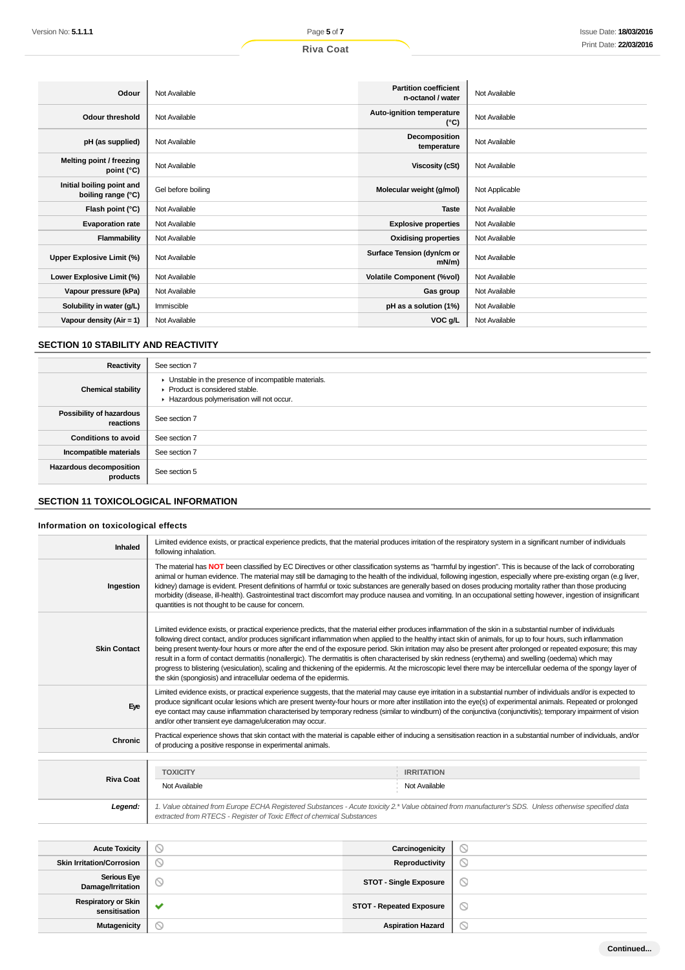| Odour                                           | Not Available      | <b>Partition coefficient</b><br>n-octanol / water | Not Available  |
|-------------------------------------------------|--------------------|---------------------------------------------------|----------------|
| Odour threshold                                 | Not Available      | Auto-ignition temperature<br>$(^{\circ}C)$        | Not Available  |
| pH (as supplied)                                | Not Available      | Decomposition<br>temperature                      | Not Available  |
| Melting point / freezing<br>point (°C)          | Not Available      | Viscosity (cSt)                                   | Not Available  |
| Initial boiling point and<br>boiling range (°C) | Gel before boiling | Molecular weight (g/mol)                          | Not Applicable |
| Flash point (°C)                                | Not Available      | <b>Taste</b>                                      | Not Available  |
| <b>Evaporation rate</b>                         | Not Available      | <b>Explosive properties</b>                       | Not Available  |
| Flammability                                    | Not Available      | <b>Oxidising properties</b>                       | Not Available  |
| Upper Explosive Limit (%)                       | Not Available      | Surface Tension (dyn/cm or<br>$mN/m$ )            | Not Available  |
| Lower Explosive Limit (%)                       | Not Available      | <b>Volatile Component (%vol)</b>                  | Not Available  |
| Vapour pressure (kPa)                           | Not Available      | Gas group                                         | Not Available  |
| Solubility in water (g/L)                       | Immiscible         | pH as a solution (1%)                             | Not Available  |
| Vapour density ( $Air = 1$ )                    | Not Available      | VOC g/L                                           | Not Available  |

## **SECTION 10 STABILITY AND REACTIVITY**

| Reactivity                                 | See section 7                                                                                                                      |
|--------------------------------------------|------------------------------------------------------------------------------------------------------------------------------------|
| <b>Chemical stability</b>                  | Unstable in the presence of incompatible materials.<br>▶ Product is considered stable.<br>Hazardous polymerisation will not occur. |
| Possibility of hazardous<br>reactions      | See section 7                                                                                                                      |
| <b>Conditions to avoid</b>                 | See section 7                                                                                                                      |
| Incompatible materials                     | See section 7                                                                                                                      |
| <b>Hazardous decomposition</b><br>products | See section 5                                                                                                                      |

## **SECTION 11 TOXICOLOGICAL INFORMATION**

## **Information on toxicological effects**

| Inhaled                                     | Limited evidence exists, or practical experience predicts, that the material produces irritation of the respiratory system in a significant number of individuals<br>following inhalation.                                                                                                                                                                                                                                                                                                                                                                                                                                                                                                                                                                                                                                                                                                            |                                    |                                                                                                                                                                                                                                                                                                                                          |
|---------------------------------------------|-------------------------------------------------------------------------------------------------------------------------------------------------------------------------------------------------------------------------------------------------------------------------------------------------------------------------------------------------------------------------------------------------------------------------------------------------------------------------------------------------------------------------------------------------------------------------------------------------------------------------------------------------------------------------------------------------------------------------------------------------------------------------------------------------------------------------------------------------------------------------------------------------------|------------------------------------|------------------------------------------------------------------------------------------------------------------------------------------------------------------------------------------------------------------------------------------------------------------------------------------------------------------------------------------|
| Ingestion                                   | The material has NOT been classified by EC Directives or other classification systems as "harmful by ingestion". This is because of the lack of corroborating<br>kidney) damage is evident. Present definitions of harmful or toxic substances are generally based on doses producing mortality rather than those producing<br>quantities is not thought to be cause for concern.                                                                                                                                                                                                                                                                                                                                                                                                                                                                                                                     |                                    | animal or human evidence. The material may still be damaging to the health of the individual, following ingestion, especially where pre-existing organ (e.g liver,<br>morbidity (disease, ill-health). Gastrointestinal tract discomfort may produce nausea and vomiting. In an occupational setting however, ingestion of insignificant |
| <b>Skin Contact</b>                         | Limited evidence exists, or practical experience predicts, that the material either produces inflammation of the skin in a substantial number of individuals<br>following direct contact, and/or produces significant inflammation when applied to the healthy intact skin of animals, for up to four hours, such inflammation<br>being present twenty-four hours or more after the end of the exposure period. Skin irritation may also be present after prolonged or repeated exposure; this may<br>result in a form of contact dermatitis (nonallergic). The dermatitis is often characterised by skin redness (erythema) and swelling (oedema) which may<br>progress to blistering (vesiculation), scaling and thickening of the epidermis. At the microscopic level there may be intercellular oedema of the spongy layer of<br>the skin (spongiosis) and intracellular oedema of the epidermis. |                                    |                                                                                                                                                                                                                                                                                                                                          |
| Eye                                         | Limited evidence exists, or practical experience suggests, that the material may cause eye irritation in a substantial number of individuals and/or is expected to<br>produce significant ocular lesions which are present twenty-four hours or more after instillation into the eye(s) of experimental animals. Repeated or prolonged<br>eye contact may cause inflammation characterised by temporary redness (similar to windburn) of the conjunctiva (conjunctivitis); temporary impairment of vision<br>and/or other transient eye damage/ulceration may occur.                                                                                                                                                                                                                                                                                                                                  |                                    |                                                                                                                                                                                                                                                                                                                                          |
| Chronic                                     | of producing a positive response in experimental animals.                                                                                                                                                                                                                                                                                                                                                                                                                                                                                                                                                                                                                                                                                                                                                                                                                                             |                                    | Practical experience shows that skin contact with the material is capable either of inducing a sensitisation reaction in a substantial number of individuals, and/or                                                                                                                                                                     |
| <b>Riva Coat</b>                            | <b>TOXICITY</b><br>Not Available                                                                                                                                                                                                                                                                                                                                                                                                                                                                                                                                                                                                                                                                                                                                                                                                                                                                      | <b>IRRITATION</b><br>Not Available |                                                                                                                                                                                                                                                                                                                                          |
| Legend:                                     | 1. Value obtained from Europe ECHA Registered Substances - Acute toxicity 2.* Value obtained from manufacturer's SDS. Unless otherwise specified data<br>extracted from RTECS - Register of Toxic Effect of chemical Substances                                                                                                                                                                                                                                                                                                                                                                                                                                                                                                                                                                                                                                                                       |                                    |                                                                                                                                                                                                                                                                                                                                          |
|                                             |                                                                                                                                                                                                                                                                                                                                                                                                                                                                                                                                                                                                                                                                                                                                                                                                                                                                                                       |                                    |                                                                                                                                                                                                                                                                                                                                          |
| <b>Acute Toxicity</b>                       | 0                                                                                                                                                                                                                                                                                                                                                                                                                                                                                                                                                                                                                                                                                                                                                                                                                                                                                                     | Carcinogenicity                    | ◎                                                                                                                                                                                                                                                                                                                                        |
| <b>Skin Irritation/Corrosion</b>            | $\circledcirc$                                                                                                                                                                                                                                                                                                                                                                                                                                                                                                                                                                                                                                                                                                                                                                                                                                                                                        | Reproductivity                     | $\circledcirc$                                                                                                                                                                                                                                                                                                                           |
| <b>Serious Eye</b><br>Damage/Irritation     | Q                                                                                                                                                                                                                                                                                                                                                                                                                                                                                                                                                                                                                                                                                                                                                                                                                                                                                                     | <b>STOT - Single Exposure</b>      | $\circledcirc$                                                                                                                                                                                                                                                                                                                           |
| <b>Respiratory or Skin</b><br>sensitisation | $\bullet$                                                                                                                                                                                                                                                                                                                                                                                                                                                                                                                                                                                                                                                                                                                                                                                                                                                                                             | <b>STOT - Repeated Exposure</b>    | ◎                                                                                                                                                                                                                                                                                                                                        |

 $\circlearrowright$ 

**Mutagenicity and COVID-19 and COVID-19 and COVID-19 and COVID-19 and COVID-19 and COVID-19 and COVID-19 and COVID-19 and COVID-19 and COVID-19 and COVID-19 and COVID-19 and COVID-19 and COVID-19 and COVID-19 and COVID-1**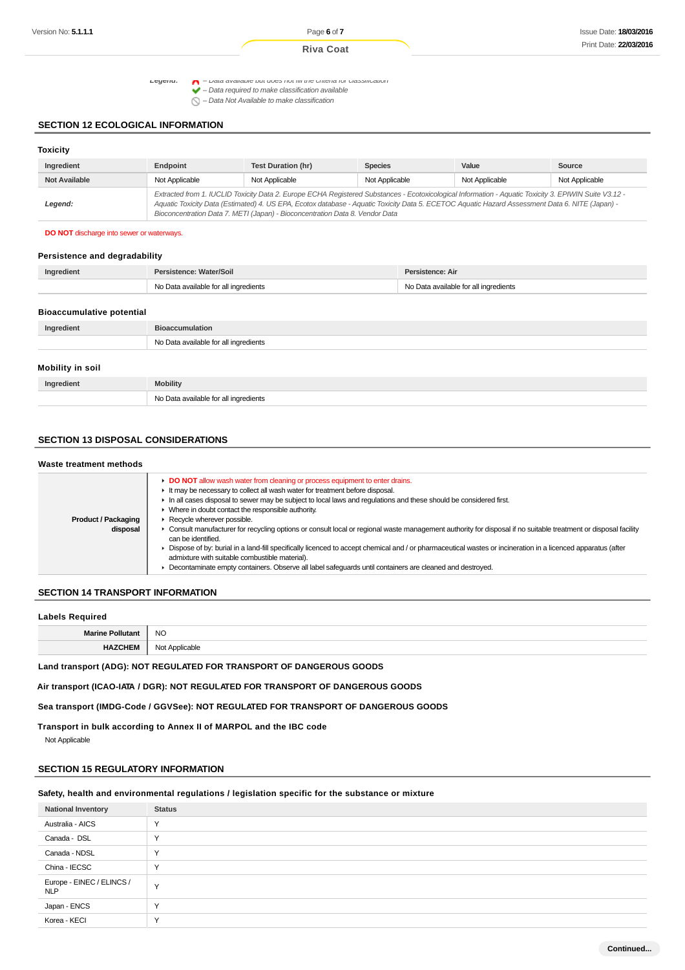Legena:  $\bigcap$  - Data available but does not fill the criteria for classification

 $\blacktriangleright$  – Data required to make classification available<br> $\blacktriangleright$  – Data required to make classification available

 $\bigcap$  – Data Not Available to make classification

### **SECTION 12 ECOLOGICAL INFORMATION**

| <b>Toxicity</b>      |                |                                                                                                                                                                                                                                                                                                                                                                                          |                |                |                |
|----------------------|----------------|------------------------------------------------------------------------------------------------------------------------------------------------------------------------------------------------------------------------------------------------------------------------------------------------------------------------------------------------------------------------------------------|----------------|----------------|----------------|
| Ingredient           | Endpoint       | <b>Test Duration (hr)</b>                                                                                                                                                                                                                                                                                                                                                                | <b>Species</b> | Value          | Source         |
| <b>Not Available</b> | Not Applicable | Not Applicable                                                                                                                                                                                                                                                                                                                                                                           | Not Applicable | Not Applicable | Not Applicable |
| Legend:              |                | Extracted from 1. IUCLID Toxicity Data 2. Europe ECHA Registered Substances - Ecotoxicological Information - Aquatic Toxicity 3. EPIWIN Suite V3.12 -<br>Aquatic Toxicity Data (Estimated) 4. US EPA, Ecotox database - Aquatic Toxicity Data 5. ECETOC Aquatic Hazard Assessment Data 6. NITE (Japan) -<br>Bioconcentration Data 7. METI (Japan) - Bioconcentration Data 8. Vendor Data |                |                |                |

#### **DO NOT** discharge into sewer or waterways.

#### **Persistence and degradability**

| Ingredient                       | Persistence: Water/Soil               | Persistence: Air                      |
|----------------------------------|---------------------------------------|---------------------------------------|
|                                  | No Data available for all ingredients | No Data available for all ingredients |
| <b>Bioaccumulative potential</b> |                                       |                                       |
| Ingredient                       | <b>Bioaccumulation</b>                |                                       |
|                                  | No Data available for all ingredients |                                       |

#### **Mobility in soil**

| 1110011119 111 JUIL |                                       |
|---------------------|---------------------------------------|
| Ingredient          | <b>Mobility</b>                       |
|                     | No Data available for all ingredients |

## **SECTION 13 DISPOSAL CONSIDERATIONS**

#### **Waste treatment methods Product / Packaging disposal DO NOT** allow wash water from cleaning or process equipment to enter drains. It may be necessary to collect all wash water for treatment before disposal. In all cases disposal to sewer may be subject to local laws and regulations and these should be considered first. Where in doubt contact the responsible authority. Recycle wherever possible. ▶ Consult manufacturer for recycling options or consult local or regional waste management authority for disposal if no suitable treatment or disposal facility can be identified. ▶ Dispose of by: burial in a land-fill specifically licenced to accept chemical and / or pharmaceutical wastes or incineration in a licenced apparatus (after admixture with suitable combustible material). **Decontaminate empty containers. Observe all label safeguards until containers are cleaned and destroyed.**

### **SECTION 14 TRANSPORT INFORMATION**

#### **Labels Required**

| <b>Mariz</b> | <b>NO</b>        |
|--------------|------------------|
|              | m<br>הור<br>יושג |

### **Land transport (ADG): NOT REGULATED FOR TRANSPORT OF DANGEROUS GOODS**

**Air transport (ICAO-IATA / DGR): NOT REGULATED FOR TRANSPORT OF DANGEROUS GOODS**

**Sea transport (IMDG-Code / GGVSee): NOT REGULATED FOR TRANSPORT OF DANGEROUS GOODS**

**Transport in bulk according to Annex II of MARPOL and the IBC code**

Not Applicable

#### **SECTION 15 REGULATORY INFORMATION**

### **Safety, health and environmental regulations / legislation specific for the substance or mixture**

| <b>National Inventory</b>               | <b>Status</b> |
|-----------------------------------------|---------------|
| Australia - AICS                        | $\checkmark$  |
| Canada - DSL                            | $\checkmark$  |
| Canada - NDSL                           | $\checkmark$  |
| China - IECSC                           | $\sqrt{}$     |
| Europe - EINEC / ELINCS /<br><b>NLP</b> | $\checkmark$  |
| Japan - ENCS                            | $\checkmark$  |
| Korea - KECI                            | $\checkmark$  |

**Continued...**